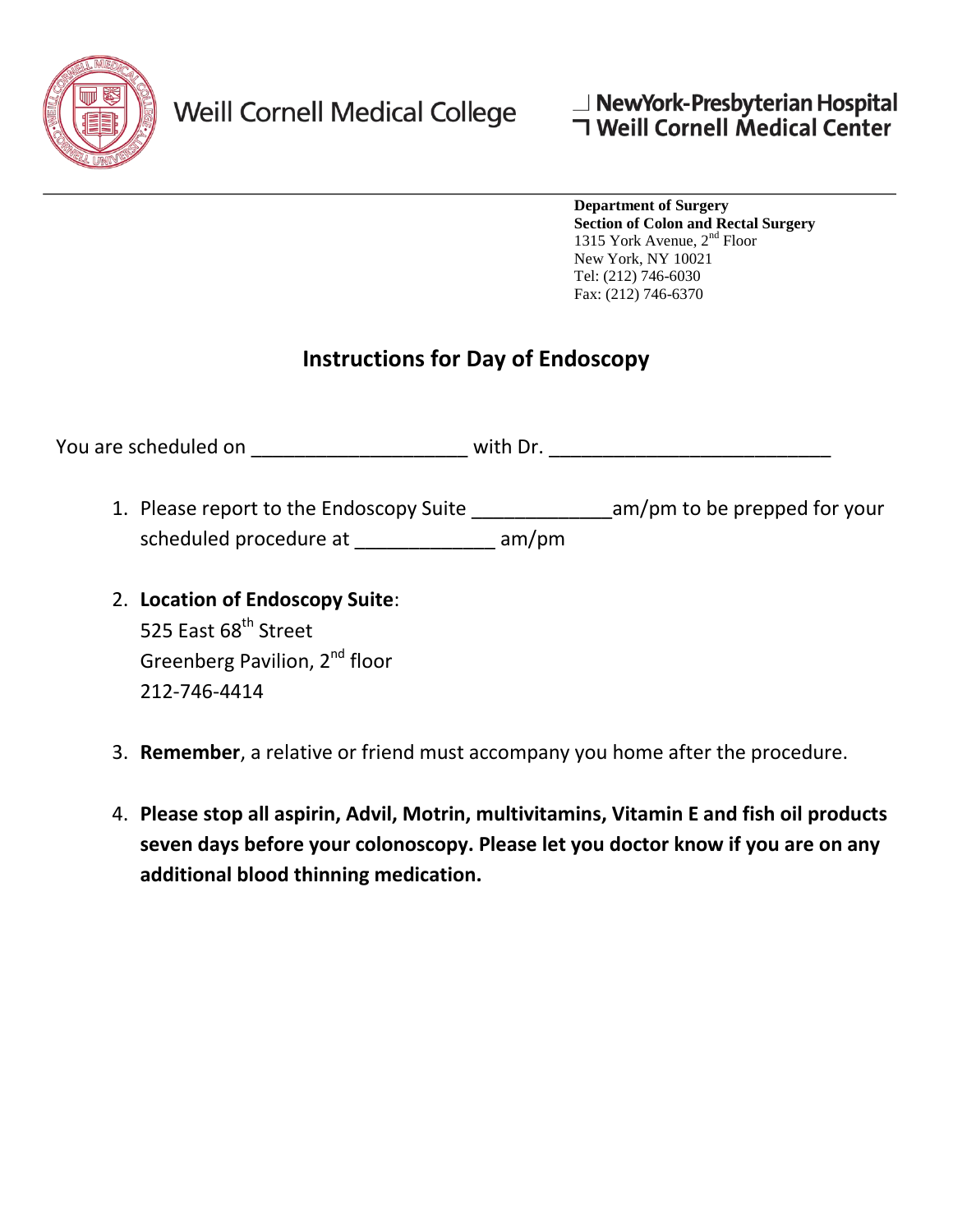

212-746-4414

**Department of Surgery Section of Colon and Rectal Surgery**  1315 York Avenue, 2nd Floor New York, NY 10021 Tel: (212) 746-6030 Fax: (212) 746-6370

## **Instructions for Day of Endoscopy**

| You are scheduled on                                                | with Dr. |                              |
|---------------------------------------------------------------------|----------|------------------------------|
| 1. Please report to the Endoscopy Suite<br>scheduled procedure at   | am/m     | am/pm to be prepped for your |
| 2. Location of Endoscopy Suite:<br>525 East 68 <sup>th</sup> Street |          |                              |
| Greenberg Pavilion, 2 <sup>nd</sup> floor                           |          |                              |

- 3. **Remember**, a relative or friend must accompany you home after the procedure.
- 4. **Please stop all aspirin, Advil, Motrin, multivitamins, Vitamin E and fish oil products seven days before your colonoscopy. Please let you doctor know if you are on any additional blood thinning medication.**